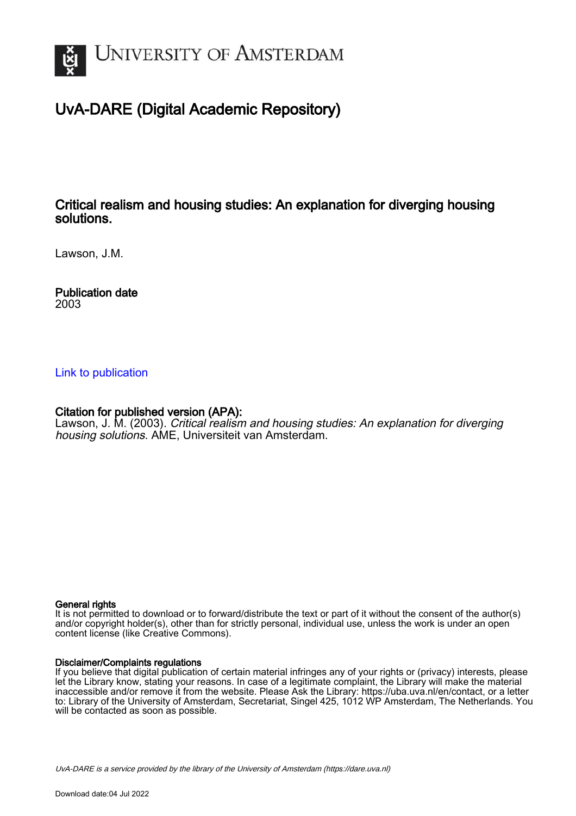

# UvA-DARE (Digital Academic Repository)

## Critical realism and housing studies: An explanation for diverging housing solutions.

Lawson, J.M.

Publication date 2003

## [Link to publication](https://dare.uva.nl/personal/pure/en/publications/critical-realism-and-housing-studies-an-explanation-for-diverging-housing-solutions(4ca15a8c-c8ee-4389-9ac7-ce3d7caa1f44).html)

## Citation for published version (APA):

Lawson, J. M. (2003). Critical realism and housing studies: An explanation for diverging housing solutions. AME, Universiteit van Amsterdam.

## General rights

It is not permitted to download or to forward/distribute the text or part of it without the consent of the author(s) and/or copyright holder(s), other than for strictly personal, individual use, unless the work is under an open content license (like Creative Commons).

## Disclaimer/Complaints regulations

If you believe that digital publication of certain material infringes any of your rights or (privacy) interests, please let the Library know, stating your reasons. In case of a legitimate complaint, the Library will make the material inaccessible and/or remove it from the website. Please Ask the Library: https://uba.uva.nl/en/contact, or a letter to: Library of the University of Amsterdam, Secretariat, Singel 425, 1012 WP Amsterdam, The Netherlands. You will be contacted as soon as possible.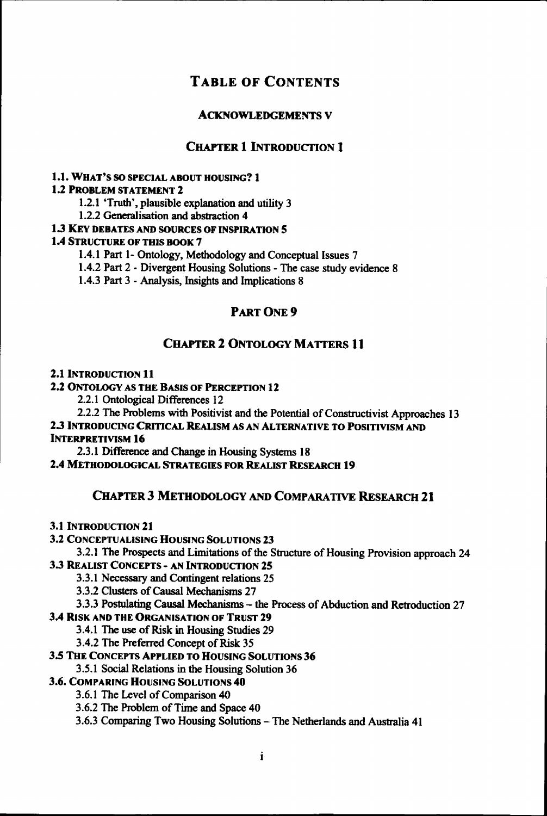## **TABLE OF CONTENTS**

## **ACKNOWLEDGEMENTS V**

## **CHAPTER 1 INTRODUCTION 1**

## 1.1.. WHAT'S SO SPECIAL ABOUT HOUSING? 1

## 1.2 PROBLEM STATEMENT 2

1.2.1 'Truth', plausible explanation and utility 3

1.2.22 Generalisation and abstraction 4

## 1.3 KEY DEBATES AND SOURCES OF INSPIRATION 5

## 1.4 STRUCTURE OF THIS BOOK 7

1.4.11 Part 1- Ontology, Methodology and Conceptual Issues 7

1.4.22 Part 2 - Divergent Housing Solutions - The case study evidence 8

1.4.33 Part 3 - Analysis, Insights and Implications 8

## PART ONE 9

## **CHAPTER 2 ONTOLOGY MATTERS 11**

### 2.1 INTRODUCTION 11

2.22 ONTOLOGY AS THE BASIS OF PERCEPTION 12

2.2.1 Ontological Differences 12

2.2.22 The Problems with Positivist and the Potential of Constructivist Approaches 13 2.33 INTRODUCING CRITICAL REALISM AS AN ALTERNATIVE TO POSITIVISM AND **INTERPRETIVISM 16** 

2.3.1 Difference and Change in Housing Systems 18

2.44 METHODOLOGICAL STRATEGIES FOR REALIST RESEARCH 19

## CHAPTER 3 METHODOLOGY AND COMPARATIVE RESEARCH 21

3.1 INTRODUCTION 21

3.22 CONCEPTUALISING HOUSING SOLUTIONS 23

3.2.11 The Prospects and Limitations of the Structure of Housing Provision approach 24 3.3 REALIST CONCEPTS - AN INTRODUCTION 25

3.3.11 Necessary and Contingent relations 25

3.3.22 Clusters of Causal Mechanisms 27

3.3.33 Postulating Causal Mechanisms - the Process of Abduction and Retroduction 27

## 3.44 RISK AND THE ORGANISATION OF TRUST 29

3.4.11 The use of Risk in Housing Studies 29

3.4.22 The Preferred Concept of Risk 35

## 3.55 THE CONCEPTS APPLIED TO HOUSING SOLUTIONS 36

3.5.11 Social Relations in the Housing Solution 36

3.6. COMPARING HOUSING SOLUTIONS 40

3.6.1 The Level of Comparison 40

3.6.22 The Problem of Time and Space 40

3.6.3 Comparing Two Housing Solutions - The Netherlands and Australia 41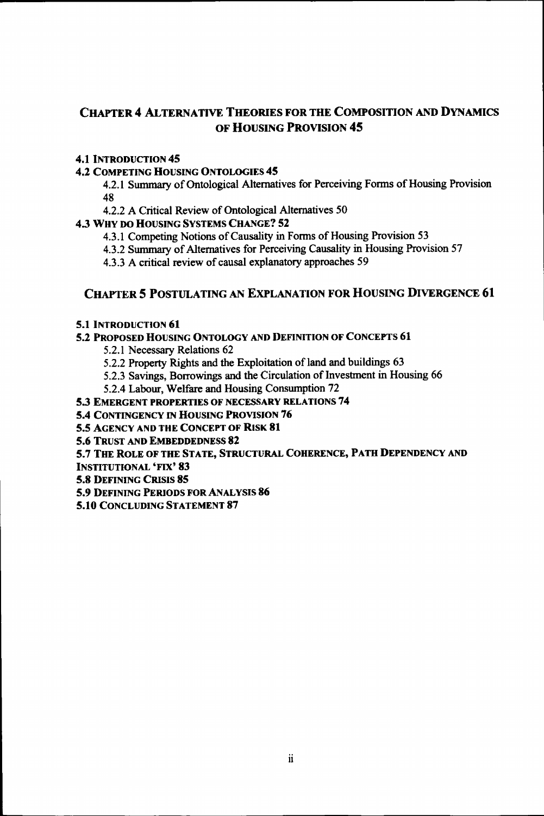## CHAPTER 4 ALTERNATIVE THEORIES FOR THE COMPOSITION AND DYNAMICS OF HOUSING PROVISION 45

## 4.1 INTRODUCTION 45

## 4.22 COMPETING HOUSING ONTOLOGIES 45

4.2.11 Summary of Ontological Alternatives for Perceiving Forms of Housing Provision 48

4.2.22 A Critical Review of Ontological Alternatives 50

433 WHY DO HOUSING SYSTEMS CHANGE? 52

- 4.3.1 Competing Notions of Causality in Forms of Housing Provision 53
- 4.3.22 Summary of Alternatives for Perceiving Causality in Housing Provision 57
- 4.3.33 A critical review of causal explanatory approaches 59

## CHAPTER 5 POSTULATING AN EXPLANATION FOR HOUSING DIVERGENCE 61

## 5.1 INTRODUCTION 61

## 5.2 PROPOSED HOUSING ONTOLOGY AND DEFINITION OF CONCEPTS 61

- 5.2.1 Necessary Relations 62
- 5.2.22 Property Rights and the Exploitation of land and buildings 63
- 5.2.33 Savings, Borrowings and the Circulation of Investment in Housing 66
- 5.2.44 Labour, Welfare and Housing Consumption 72

## 5.3 EMERGENT PROPERTIES OF NECESSARY RELATIONS 74

- 5.4 CONTINGENCY IN HOUSING PROVISION 76
- 5.5 AGENCY AND THE CONCEPT OF RISK 81

5.6 TRUST AND EMBEDDEDNESS 82

## 5.7 THE ROLE OF THE STATE, STRUCTURAL COHERENCE, PATH DEPENDENCY AND

INSTITUTIONAL 'FIX' 83

5.8 DEFINING CRISIS 85

5.9 DEFINING PERIODS FOR ANALYSIS 86

5.10 CONCLUDING STATEMENT 87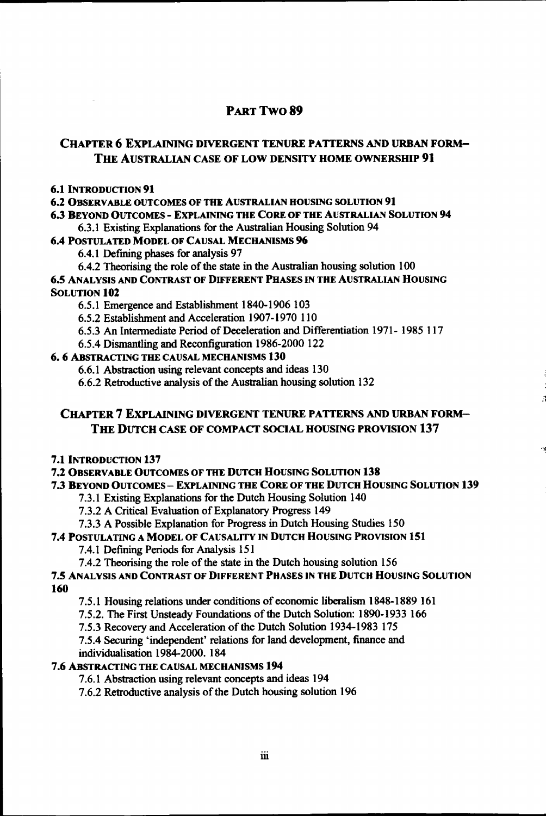## PART TWO 89

## CHAPTER 6 EXPLAINING DIVERGENT TENURE PATTERNS AND URBAN FORM-THE AUSTRALIAN CASE OF LOW DENSITY HOME OWNERSHIP 91

#### 6.1 INTRODUCTION 91

6.22 OBSERVABLE OUTCOMES OF THE AUSTRALIAN HOUSING SOLUTION 91

6*33* BEYOND OUTCOMES - EXPLAINING THE CORE OF THE AUSTRALIAN SOLUTION **94** 

6.3.1 Existing Explanations for the Australian Housing Solution 94

#### **6.44** POSTULATED MODEL OF CAUSAL MECHANISMS **96**

6.4.1 Defining phases for analysis 97

6.4.22 Theorising the role of the state in the Australian housing solution 100

#### 6.55 ANALYSIS AND CONTRAST OF DIFFERENT PHASES IN THE AUSTRALIAN HOUSING **SOLUTION 102**

6.5.1 Emergence and Establishment 1840-1906 103

6.5.22 Establishment and Acceleration 1907-1970 110

6.5.33 An Intermediate Period of Deceleration and Differentiation 1971- 1985 117

6.5.44 Dismantling and Reconfiguration 1986-2000 122

#### 6.66 ABSTRACTING THE CAUSAL MECHANISMS 130

6.6.1 Abstraction using relevant concepts and ideas 130

6.6.22 Retroductive analysis of the Australian housing solution 132

## CHAPTERR 7 EXPLAINING DIVERGENT TENURE PATTERNS AND URBAN FORM-THE DUTCH CASE OF COMPACT SOCIAL HOUSING PROVISION 137

#### 7.1 INTRODUCTION 137

## 7.22 OBSERVABLE OUTCOMES OF THE DUTCH HOUSING SOLUTION 138

#### *1313* BEYOND OUTCOMES - EXPLAINING THE CORE OF THE DUTCH HOUSING SOLUTION 139

7.3.1 Existing Explanations for the Dutch Housing Solution 140

7.3.22 A Critical Evaluation of Explanatory Progress 149

7.3.33 A Possible Explanation for Progress in Dutch Housing Studies 150

## 7.44 POSTULATING A MODEL OF CAUSALITY IN DUTCH HOUSING PROVISION 151

7.4.1 Defining Periods for Analysis 151

7.4.2 Theorising the role of the state in the Dutch housing solution 156

## 7.5 ANALYSIS AND CONTRAST OF DIFFERENT PHASES IN THE DUTCH HOUSING SOLUTION **160**

7.5.11 Housing relations under conditions of economic liberalism 1848-1889 161

7.5.2.. The First Unsteady Foundations of the Dutch Solution: 1890-1933 166

7.5.33 Recovery and Acceleration of the Dutch Solution 1934-1983 175

7.5.44 Securing 'independent' relations for land development, finance and individualisation 1984-2000. 184

#### 7.66 ABSTRACTING THE CAUSAL MECHANISMS **194**

7.6.1 Abstraction using relevant concepts and ideas 194

7.6.22 Retroductive analysis of the Dutch housing solution 196